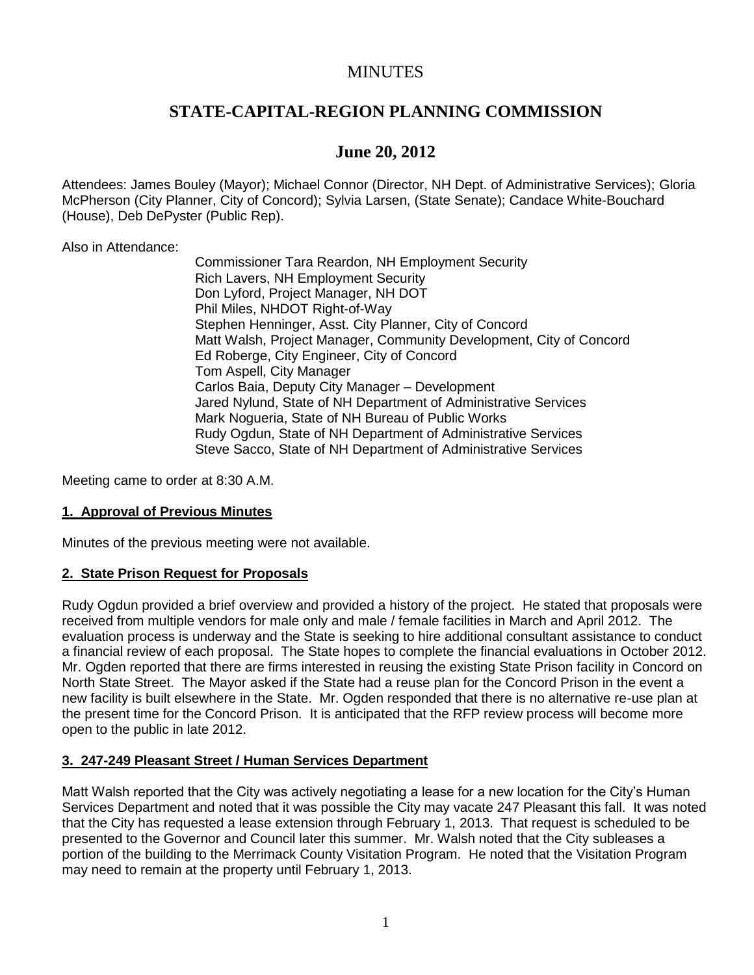## **MINUTES**

# **STATE-CAPITAL-REGION PLANNING COMMISSION**

# **June 20, 2012**

Attendees: James Bouley (Mayor); Michael Connor (Director, NH Dept. of Administrative Services); Gloria McPherson (City Planner, City of Concord); Sylvia Larsen, (State Senate); Candace White-Bouchard (House), Deb DePyster (Public Rep).

Also in Attendance:

Commissioner Tara Reardon, NH Employment Security Rich Lavers, NH Employment Security Don Lyford, Project Manager, NH DOT Phil Miles, NHDOT Right-of-Way Stephen Henninger, Asst. City Planner, City of Concord Matt Walsh, Project Manager, Community Development, City of Concord Ed Roberge, City Engineer, City of Concord Tom Aspell, City Manager Carlos Baia, Deputy City Manager – Development Jared Nylund, State of NH Department of Administrative Services Mark Nogueria, State of NH Bureau of Public Works Rudy Ogdun, State of NH Department of Administrative Services Steve Sacco, State of NH Department of Administrative Services

Meeting came to order at 8:30 A.M.

#### **1. Approval of Previous Minutes**

Minutes of the previous meeting were not available.

#### **2. State Prison Request for Proposals**

Rudy Ogdun provided a brief overview and provided a history of the project. He stated that proposals were received from multiple vendors for male only and male / female facilities in March and April 2012. The evaluation process is underway and the State is seeking to hire additional consultant assistance to conduct a financial review of each proposal. The State hopes to complete the financial evaluations in October 2012. Mr. Ogden reported that there are firms interested in reusing the existing State Prison facility in Concord on North State Street. The Mayor asked if the State had a reuse plan for the Concord Prison in the event a new facility is built elsewhere in the State. Mr. Ogden responded that there is no alternative re-use plan at the present time for the Concord Prison. It is anticipated that the RFP review process will become more open to the public in late 2012.

#### **3. 247-249 Pleasant Street / Human Services Department**

Matt Walsh reported that the City was actively negotiating a lease for a new location for the City's Human Services Department and noted that it was possible the City may vacate 247 Pleasant this fall. It was noted that the City has requested a lease extension through February 1, 2013. That request is scheduled to be presented to the Governor and Council later this summer. Mr. Walsh noted that the City subleases a portion of the building to the Merrimack County Visitation Program. He noted that the Visitation Program may need to remain at the property until February 1, 2013.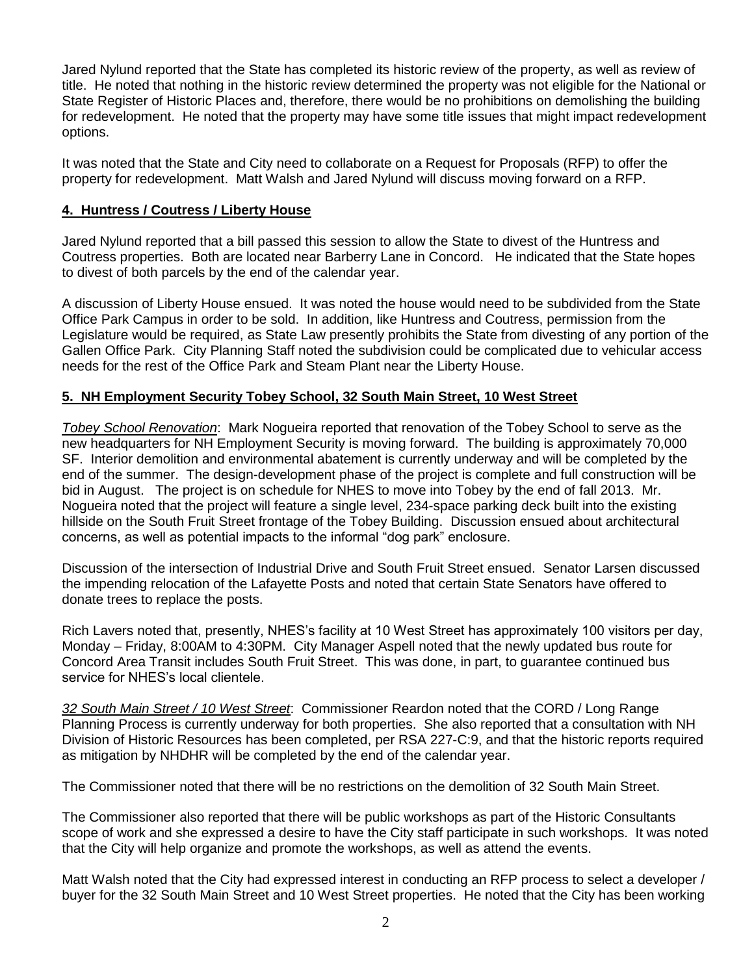Jared Nylund reported that the State has completed its historic review of the property, as well as review of title. He noted that nothing in the historic review determined the property was not eligible for the National or State Register of Historic Places and, therefore, there would be no prohibitions on demolishing the building for redevelopment. He noted that the property may have some title issues that might impact redevelopment options.

It was noted that the State and City need to collaborate on a Request for Proposals (RFP) to offer the property for redevelopment. Matt Walsh and Jared Nylund will discuss moving forward on a RFP.

#### **4. Huntress / Coutress / Liberty House**

Jared Nylund reported that a bill passed this session to allow the State to divest of the Huntress and Coutress properties. Both are located near Barberry Lane in Concord. He indicated that the State hopes to divest of both parcels by the end of the calendar year.

A discussion of Liberty House ensued. It was noted the house would need to be subdivided from the State Office Park Campus in order to be sold. In addition, like Huntress and Coutress, permission from the Legislature would be required, as State Law presently prohibits the State from divesting of any portion of the Gallen Office Park. City Planning Staff noted the subdivision could be complicated due to vehicular access needs for the rest of the Office Park and Steam Plant near the Liberty House.

#### **5. NH Employment Security Tobey School, 32 South Main Street, 10 West Street**

*Tobey School Renovation*: Mark Nogueira reported that renovation of the Tobey School to serve as the new headquarters for NH Employment Security is moving forward. The building is approximately 70,000 SF. Interior demolition and environmental abatement is currently underway and will be completed by the end of the summer. The design-development phase of the project is complete and full construction will be bid in August. The project is on schedule for NHES to move into Tobey by the end of fall 2013. Mr. Nogueira noted that the project will feature a single level, 234-space parking deck built into the existing hillside on the South Fruit Street frontage of the Tobey Building. Discussion ensued about architectural concerns, as well as potential impacts to the informal "dog park" enclosure.

Discussion of the intersection of Industrial Drive and South Fruit Street ensued. Senator Larsen discussed the impending relocation of the Lafayette Posts and noted that certain State Senators have offered to donate trees to replace the posts.

Rich Lavers noted that, presently, NHES's facility at 10 West Street has approximately 100 visitors per day, Monday – Friday, 8:00AM to 4:30PM. City Manager Aspell noted that the newly updated bus route for Concord Area Transit includes South Fruit Street. This was done, in part, to guarantee continued bus service for NHES's local clientele.

*32 South Main Street / 10 West Street*: Commissioner Reardon noted that the CORD / Long Range Planning Process is currently underway for both properties. She also reported that a consultation with NH Division of Historic Resources has been completed, per RSA 227-C:9, and that the historic reports required as mitigation by NHDHR will be completed by the end of the calendar year.

The Commissioner noted that there will be no restrictions on the demolition of 32 South Main Street.

The Commissioner also reported that there will be public workshops as part of the Historic Consultants scope of work and she expressed a desire to have the City staff participate in such workshops. It was noted that the City will help organize and promote the workshops, as well as attend the events.

Matt Walsh noted that the City had expressed interest in conducting an RFP process to select a developer / buyer for the 32 South Main Street and 10 West Street properties. He noted that the City has been working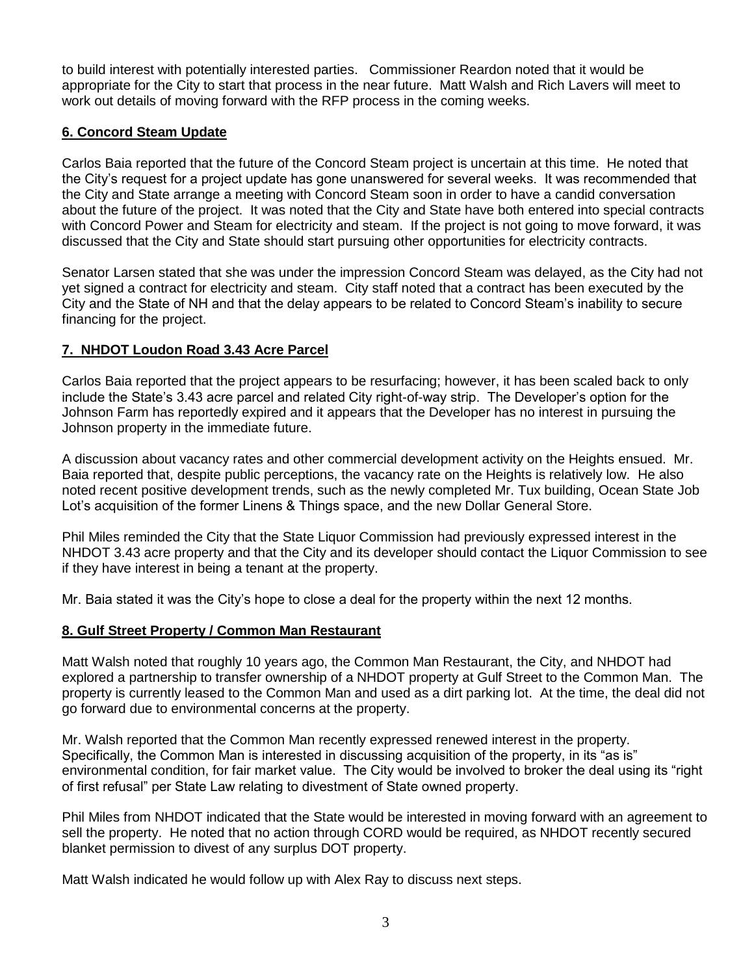to build interest with potentially interested parties. Commissioner Reardon noted that it would be appropriate for the City to start that process in the near future. Matt Walsh and Rich Lavers will meet to work out details of moving forward with the RFP process in the coming weeks.

### **6. Concord Steam Update**

Carlos Baia reported that the future of the Concord Steam project is uncertain at this time. He noted that the City's request for a project update has gone unanswered for several weeks. It was recommended that the City and State arrange a meeting with Concord Steam soon in order to have a candid conversation about the future of the project. It was noted that the City and State have both entered into special contracts with Concord Power and Steam for electricity and steam. If the project is not going to move forward, it was discussed that the City and State should start pursuing other opportunities for electricity contracts.

Senator Larsen stated that she was under the impression Concord Steam was delayed, as the City had not yet signed a contract for electricity and steam. City staff noted that a contract has been executed by the City and the State of NH and that the delay appears to be related to Concord Steam's inability to secure financing for the project.

### **7. NHDOT Loudon Road 3.43 Acre Parcel**

Carlos Baia reported that the project appears to be resurfacing; however, it has been scaled back to only include the State's 3.43 acre parcel and related City right-of-way strip. The Developer's option for the Johnson Farm has reportedly expired and it appears that the Developer has no interest in pursuing the Johnson property in the immediate future.

A discussion about vacancy rates and other commercial development activity on the Heights ensued. Mr. Baia reported that, despite public perceptions, the vacancy rate on the Heights is relatively low. He also noted recent positive development trends, such as the newly completed Mr. Tux building, Ocean State Job Lot's acquisition of the former Linens & Things space, and the new Dollar General Store.

Phil Miles reminded the City that the State Liquor Commission had previously expressed interest in the NHDOT 3.43 acre property and that the City and its developer should contact the Liquor Commission to see if they have interest in being a tenant at the property.

Mr. Baia stated it was the City's hope to close a deal for the property within the next 12 months.

#### **8. Gulf Street Property / Common Man Restaurant**

Matt Walsh noted that roughly 10 years ago, the Common Man Restaurant, the City, and NHDOT had explored a partnership to transfer ownership of a NHDOT property at Gulf Street to the Common Man. The property is currently leased to the Common Man and used as a dirt parking lot. At the time, the deal did not go forward due to environmental concerns at the property.

Mr. Walsh reported that the Common Man recently expressed renewed interest in the property. Specifically, the Common Man is interested in discussing acquisition of the property, in its "as is" environmental condition, for fair market value. The City would be involved to broker the deal using its "right of first refusal" per State Law relating to divestment of State owned property.

Phil Miles from NHDOT indicated that the State would be interested in moving forward with an agreement to sell the property. He noted that no action through CORD would be required, as NHDOT recently secured blanket permission to divest of any surplus DOT property.

Matt Walsh indicated he would follow up with Alex Ray to discuss next steps.